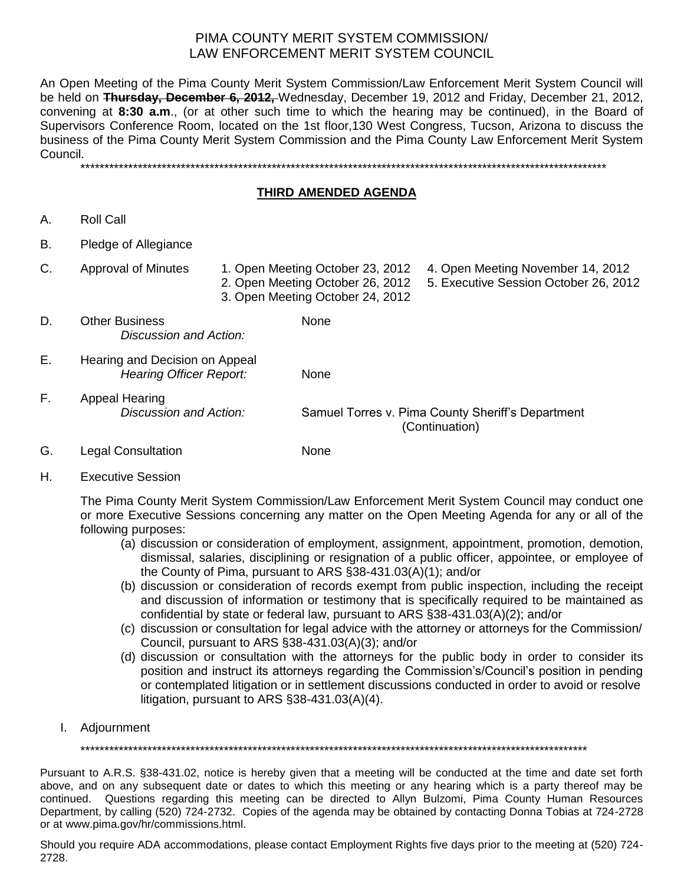An Open Meeting of the Pima County Merit System Commission/Law Enforcement Merit System Council will be held on **Thursday, December 6, 2012,** Wednesday, December 19, 2012 and Friday, December 21, 2012, convening at **8:30 a.m**., (or at other such time to which the hearing may be continued), in the Board of Supervisors Conference Room, located on the 1st floor,130 West Congress, Tucson, Arizona to discuss the business of the Pima County Merit System Commission and the Pima County Law Enforcement Merit System Council.

\*\*\*\*\*\*\*\*\*\*\*\*\*\*\*\*\*\*\*\*\*\*\*\*\*\*\*\*\*\*\*\*\*\*\*\*\*\*\*\*\*\*\*\*\*\*\*\*\*\*\*\*\*\*\*\*\*\*\*\*\*\*\*\*\*\*\*\*\*\*\*\*\*\*\*\*\*\*\*\*\*\*\*\*\*\*\*\*\*\*\*\*\*\*\*\*\*\*\*\*\*\*\*\*\*\*\*\*\*\*

### **THIRD AMENDED AGENDA**

- A. Roll Call
- B. Pledge of Allegiance
- C. Approval of Minutes 1. Open Meeting October 23, 2012 4. Open Meeting November 14, 2012
	-
	- 2. Open Meeting October 26, 2012 5. Executive Session October 26, 2012
	- 3. Open Meeting October 24, 2012
- D. Other Business None *Discussion and Action:*
- E. Hearing and Decision on Appeal *Hearing Officer Report:* None
- F. Appeal Hearing

*Discussion and Action:* Samuel Torres v. Pima County Sheriff's Department (Continuation)

- G. Legal Consultation **None**
- H. Executive Session

The Pima County Merit System Commission/Law Enforcement Merit System Council may conduct one or more Executive Sessions concerning any matter on the Open Meeting Agenda for any or all of the following purposes:

- (a) discussion or consideration of employment, assignment, appointment, promotion, demotion, dismissal, salaries, disciplining or resignation of a public officer, appointee, or employee of the County of Pima, pursuant to ARS §38-431.03(A)(1); and/or
- (b) discussion or consideration of records exempt from public inspection, including the receipt and discussion of information or testimony that is specifically required to be maintained as confidential by state or federal law, pursuant to ARS §38-431.03(A)(2); and/or
- (c) discussion or consultation for legal advice with the attorney or attorneys for the Commission/ Council, pursuant to ARS §38-431.03(A)(3); and/or
- (d) discussion or consultation with the attorneys for the public body in order to consider its position and instruct its attorneys regarding the Commission's/Council's position in pending or contemplated litigation or in settlement discussions conducted in order to avoid or resolve litigation, pursuant to ARS §38-431.03(A)(4).
- I. Adjournment

\*\*\*\*\*\*\*\*\*\*\*\*\*\*\*\*\*\*\*\*\*\*\*\*\*\*\*\*\*\*\*\*\*\*\*\*\*\*\*\*\*\*\*\*\*\*\*\*\*\*\*\*\*\*\*\*\*\*\*\*\*\*\*\*\*\*\*\*\*\*\*\*\*\*\*\*\*\*\*\*\*\*\*\*\*\*\*\*\*\*\*\*\*\*\*\*\*\*\*\*\*\*\*\*\*\*

Pursuant to A.R.S. §38-431.02, notice is hereby given that a meeting will be conducted at the time and date set forth above, and on any subsequent date or dates to which this meeting or any hearing which is a party thereof may be continued. Questions regarding this meeting can be directed to Allyn Bulzomi, Pima County Human Resources Department, by calling (520) 724-2732. Copies of the agenda may be obtained by contacting Donna Tobias at 724-2728 or at www.pima.gov/hr/commissions.html.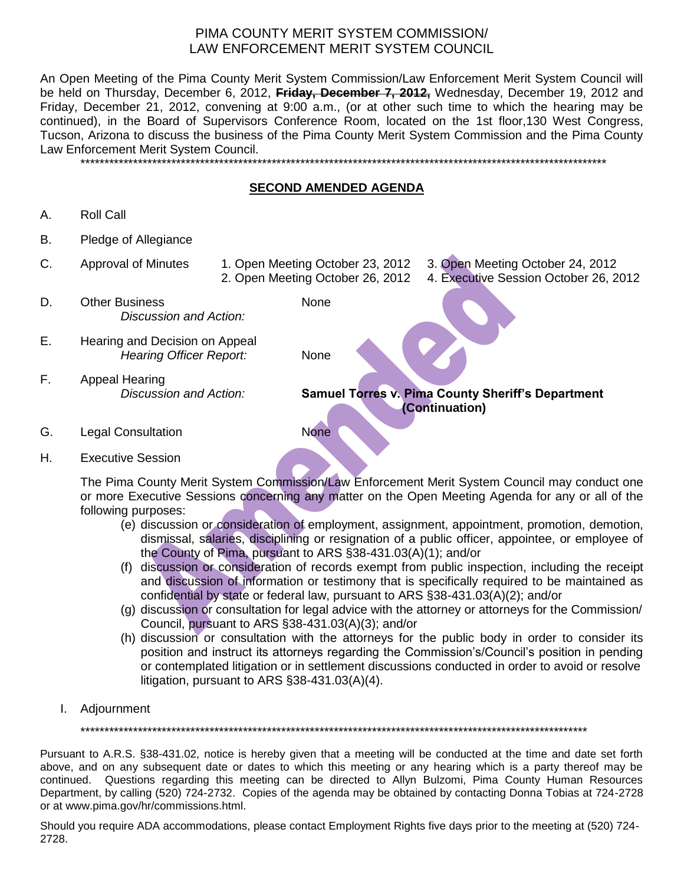An Open Meeting of the Pima County Merit System Commission/Law Enforcement Merit System Council will be held on Thursday, December 6, 2012, **Friday, December 7, 2012,** Wednesday, December 19, 2012 and Friday, December 21, 2012, convening at 9:00 a.m., (or at other such time to which the hearing may be continued), in the Board of Supervisors Conference Room, located on the 1st floor,130 West Congress, Tucson, Arizona to discuss the business of the Pima County Merit System Commission and the Pima County Law Enforcement Merit System Council. \*\*\*\*\*\*\*\*\*\*\*\*\*\*\*\*\*\*\*\*\*\*\*\*\*\*\*\*\*\*\*\*\*\*\*\*\*\*\*\*\*\*\*\*\*\*\*\*\*\*\*\*\*\*\*\*\*\*\*\*\*\*\*\*\*\*\*\*\*\*\*\*\*\*\*\*\*\*\*\*\*\*\*\*\*\*\*\*\*\*\*\*\*\*\*\*\*\*\*\*\*\*\*\*\*\*\*\*\*\*

## **SECOND AMENDED AGENDA**

- A. Roll Call
- B. Pledge of Allegiance
- C. Approval of Minutes 1. Open Meeting October 23, 2012 3. Open Meeting October 24, 2012 2. Open Meeting October 26, 2012 4. Executive Session October 26, 2012
- D. Other Business None *Discussion and Action:*
- E. Hearing and Decision on Appeal *Hearing Officer Report:* None
- F. Appeal Hearing

*Discussion and Action:* **Samuel Torres v. Pima County Sheriff's Department (Continuation)**

- G. Legal Consultation None
- H. Executive Session

The Pima County Merit System Commission/Law Enforcement Merit System Council may conduct one or more Executive Sessions concerning any matter on the Open Meeting Agenda for any or all of the following purposes:

- (e) discussion or consideration of employment, assignment, appointment, promotion, demotion, dismissal, salaries, disciplining or resignation of a public officer, appointee, or employee of the County of Pima, pursuant to ARS §38-431.03(A)(1); and/or
- (f) discussion or consideration of records exempt from public inspection, including the receipt and discussion of information or testimony that is specifically required to be maintained as confidential by state or federal law, pursuant to ARS §38-431.03(A)(2); and/or
- (g) discussion or consultation for legal advice with the attorney or attorneys for the Commission/ Council, pursuant to ARS §38-431.03(A)(3); and/or
- (h) discussion or consultation with the attorneys for the public body in order to consider its position and instruct its attorneys regarding the Commission's/Council's position in pending or contemplated litigation or in settlement discussions conducted in order to avoid or resolve litigation, pursuant to ARS §38-431.03(A)(4).
- I. Adjournment

\*\*\*\*\*\*\*\*\*\*\*\*\*\*\*\*\*\*\*\*\*\*\*\*\*\*\*\*\*\*\*\*\*\*\*\*\*\*\*\*\*\*\*\*\*\*\*\*\*\*\*\*\*\*\*\*\*\*\*\*\*\*\*\*\*\*\*\*\*\*\*\*\*\*\*\*\*\*\*\*\*\*\*\*\*\*\*\*\*\*\*\*\*\*\*\*\*\*\*\*\*\*\*\*\*\*

Pursuant to A.R.S. §38-431.02, notice is hereby given that a meeting will be conducted at the time and date set forth above, and on any subsequent date or dates to which this meeting or any hearing which is a party thereof may be continued. Questions regarding this meeting can be directed to Allyn Bulzomi, Pima County Human Resources Department, by calling (520) 724-2732. Copies of the agenda may be obtained by contacting Donna Tobias at 724-2728 or at www.pima.gov/hr/commissions.html.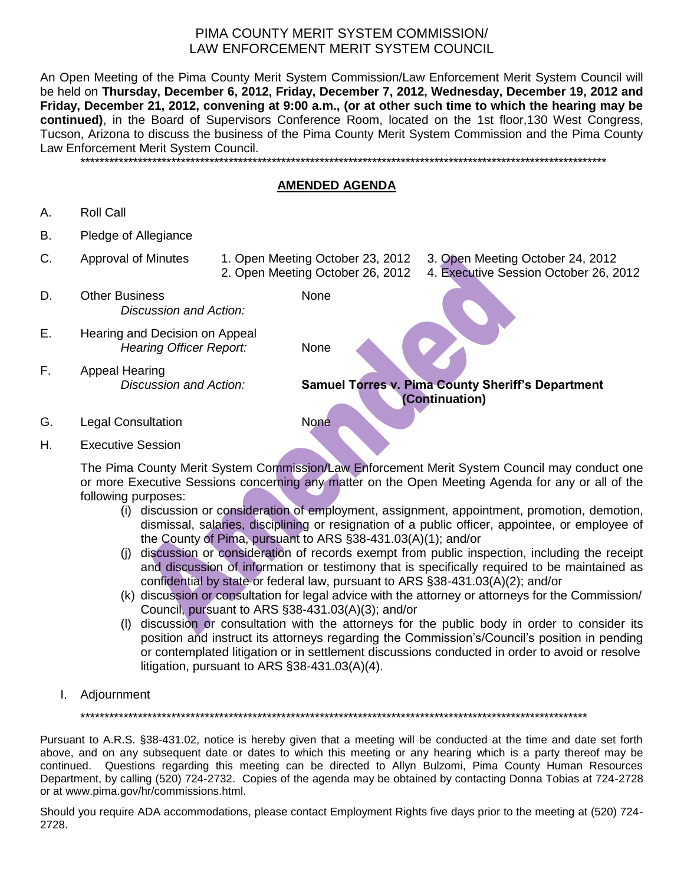An Open Meeting of the Pima County Merit System Commission/Law Enforcement Merit System Council will be held on **Thursday, December 6, 2012, Friday, December 7, 2012, Wednesday, December 19, 2012 and Friday, December 21, 2012, convening at 9:00 a.m., (or at other such time to which the hearing may be continued)**, in the Board of Supervisors Conference Room, located on the 1st floor,130 West Congress, Tucson, Arizona to discuss the business of the Pima County Merit System Commission and the Pima County Law Enforcement Merit System Council. \*\*\*\*\*\*\*\*\*\*\*\*\*\*\*\*\*\*\*\*\*\*\*\*\*\*\*\*\*\*\*\*\*\*\*\*\*\*\*\*\*\*\*\*\*\*\*\*\*\*\*\*\*\*\*\*\*\*\*\*\*\*\*\*\*\*\*\*\*\*\*\*\*\*\*\*\*\*\*\*\*\*\*\*\*\*\*\*\*\*\*\*\*\*\*\*\*\*\*\*\*\*\*\*\*\*\*\*\*\*

**AMENDED AGENDA**

- A. Roll Call
- B. Pledge of Allegiance
- C. Approval of Minutes 1. Open Meeting October 23, 2012 3. Open Meeting October 24, 2012 2. Open Meeting October 26, 2012 4. Executive Session October 26, 2012
- D. Other Business None *Discussion and Action:*
- E. Hearing and Decision on Appeal *Hearing Officer Report:* None
- F. Appeal Hearing

*Discussion and Action:* **Samuel Torres v. Pima County Sheriff's Department (Continuation)**

- G. Legal Consultation **None**
- H. Executive Session

The Pima County Merit System Commission/Law Enforcement Merit System Council may conduct one or more Executive Sessions concerning any matter on the Open Meeting Agenda for any or all of the following purposes:

- (i) discussion or consideration of employment, assignment, appointment, promotion, demotion, dismissal, salaries, disciplining or resignation of a public officer, appointee, or employee of the County of Pima, pursuant to ARS §38-431.03(A)(1); and/or
- (j) discussion or consideration of records exempt from public inspection, including the receipt and discussion of information or testimony that is specifically required to be maintained as confidential by state or federal law, pursuant to ARS §38-431.03(A)(2); and/or
- (k) discussion or consultation for legal advice with the attorney or attorneys for the Commission/ Council, pursuant to ARS §38-431.03(A)(3); and/or
- (l) discussion or consultation with the attorneys for the public body in order to consider its position and instruct its attorneys regarding the Commission's/Council's position in pending or contemplated litigation or in settlement discussions conducted in order to avoid or resolve litigation, pursuant to ARS §38-431.03(A)(4).
- I. Adjournment

\*\*\*\*\*\*\*\*\*\*\*\*\*\*\*\*\*\*\*\*\*\*\*\*\*\*\*\*\*\*\*\*\*\*\*\*\*\*\*\*\*\*\*\*\*\*\*\*\*\*\*\*\*\*\*\*\*\*\*\*\*\*\*\*\*\*\*\*\*\*\*\*\*\*\*\*\*\*\*\*\*\*\*\*\*\*\*\*\*\*\*\*\*\*\*\*\*\*\*\*\*\*\*\*\*\*

Pursuant to A.R.S. §38-431.02, notice is hereby given that a meeting will be conducted at the time and date set forth above, and on any subsequent date or dates to which this meeting or any hearing which is a party thereof may be continued. Questions regarding this meeting can be directed to Allyn Bulzomi, Pima County Human Resources Department, by calling (520) 724-2732. Copies of the agenda may be obtained by contacting Donna Tobias at 724-2728 or at www.pima.gov/hr/commissions.html.